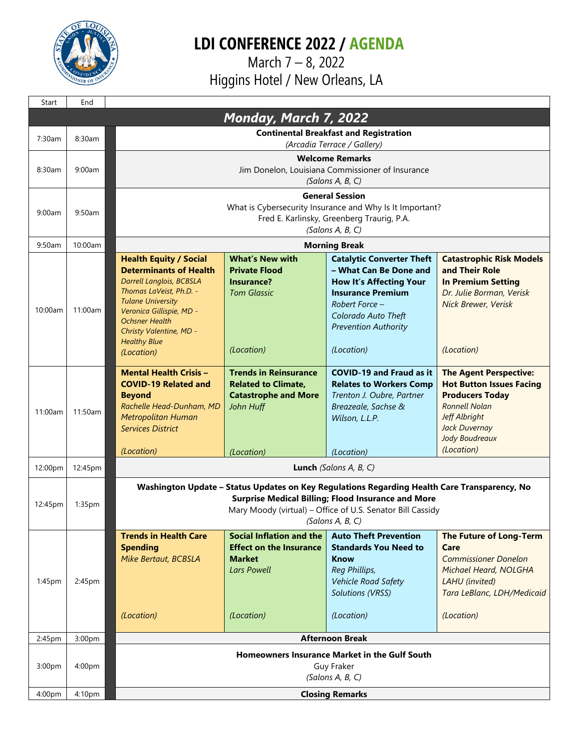

## **LDI CONFERENCE 2022 / AGENDA**

 March 7 – 8, 2022 Higgins Hotel / New Orleans, LA

| Start   | End     |                                                                                                                                                                                                                                                                               |                                                                                                                        |                                                                                                                                                                                                                |                                                                                                                                                                                      |  |
|---------|---------|-------------------------------------------------------------------------------------------------------------------------------------------------------------------------------------------------------------------------------------------------------------------------------|------------------------------------------------------------------------------------------------------------------------|----------------------------------------------------------------------------------------------------------------------------------------------------------------------------------------------------------------|--------------------------------------------------------------------------------------------------------------------------------------------------------------------------------------|--|
|         |         |                                                                                                                                                                                                                                                                               | <b>Monday, March 7, 2022</b>                                                                                           |                                                                                                                                                                                                                |                                                                                                                                                                                      |  |
| 7:30am  | 8:30am  | <b>Continental Breakfast and Registration</b><br>(Arcadia Terrace / Gallery)                                                                                                                                                                                                  |                                                                                                                        |                                                                                                                                                                                                                |                                                                                                                                                                                      |  |
| 8:30am  | 9:00am  | <b>Welcome Remarks</b><br>Jim Donelon, Louisiana Commissioner of Insurance<br>(Salons A, B, C)                                                                                                                                                                                |                                                                                                                        |                                                                                                                                                                                                                |                                                                                                                                                                                      |  |
| 9:00am  | 9:50am  | <b>General Session</b><br>What is Cybersecurity Insurance and Why Is It Important?<br>Fred E. Karlinsky, Greenberg Traurig, P.A.<br>(Salons A, B, C)                                                                                                                          |                                                                                                                        |                                                                                                                                                                                                                |                                                                                                                                                                                      |  |
| 9:50am  | 10:00am | <b>Morning Break</b>                                                                                                                                                                                                                                                          |                                                                                                                        |                                                                                                                                                                                                                |                                                                                                                                                                                      |  |
| 10:00am | 11:00am | <b>Health Equity / Social</b><br><b>Determinants of Health</b><br><b>Darrell Langlois, BCBSLA</b><br>Thomas LaVeist, Ph.D. -<br><b>Tulane University</b><br>Veronica Gillispie, MD -<br><b>Ochsner Health</b><br>Christy Valentine, MD -<br><b>Healthy Blue</b><br>(Location) | <b>What's New with</b><br><b>Private Flood</b><br>Insurance?<br><b>Tom Glassic</b><br>(Location)                       | <b>Catalytic Converter Theft</b><br>- What Can Be Done and<br><b>How It's Affecting Your</b><br><b>Insurance Premium</b><br>Robert Force -<br>Colorado Auto Theft<br><b>Prevention Authority</b><br>(Location) | <b>Catastrophic Risk Models</b><br>and Their Role<br><b>In Premium Setting</b><br>Dr. Julie Borman, Verisk<br><b>Nick Brewer, Verisk</b><br>(Location)                               |  |
| 11:00am | 11:50am | <b>Mental Health Crisis -</b><br><b>COVID-19 Related and</b><br><b>Beyond</b><br>Rachelle Head-Dunham, MD<br><b>Metropolitan Human</b><br><b>Services District</b><br>(Location)                                                                                              | <b>Trends in Reinsurance</b><br><b>Related to Climate,</b><br><b>Catastrophe and More</b><br>John Huff<br>(Location)   | <b>COVID-19 and Fraud as it</b><br><b>Relates to Workers Comp</b><br>Trenton J. Oubre, Partner<br>Breazeale, Sachse &<br>Wilson, L.L.P.<br>(Location)                                                          | <b>The Agent Perspective:</b><br><b>Hot Button Issues Facing</b><br><b>Producers Today</b><br><b>Ronnell Nolan</b><br>Jeff Albright<br>Jack Duvernay<br>Jody Boudreaux<br>(Location) |  |
| 12:00pm | 12:45pm | Lunch (Salons A, B, C)                                                                                                                                                                                                                                                        |                                                                                                                        |                                                                                                                                                                                                                |                                                                                                                                                                                      |  |
| 12:45pm | 1:35pm  | Washington Update - Status Updates on Key Regulations Regarding Health Care Transparency, No<br>Surprise Medical Billing; Flood Insurance and More<br>Mary Moody (virtual) - Office of U.S. Senator Bill Cassidy<br>(Salons A, B, C)                                          |                                                                                                                        |                                                                                                                                                                                                                |                                                                                                                                                                                      |  |
| 1:45pm  | 2:45pm  | <b>Trends in Health Care</b><br><b>Spending</b><br><b>Mike Bertaut, BCBSLA</b><br>(Location)                                                                                                                                                                                  | <b>Social Inflation and the</b><br><b>Effect on the Insurance</b><br><b>Market</b><br><b>Lars Powell</b><br>(Location) | <b>Auto Theft Prevention</b><br><b>Standards You Need to</b><br>Know<br>Reg Phillips,<br><b>Vehicle Road Safety</b><br><b>Solutions (VRSS)</b><br>(Location)                                                   | <b>The Future of Long-Term</b><br>Care<br><b>Commissioner Donelon</b><br>Michael Heard, NOLGHA<br>LAHU (invited)<br>Tara LeBlanc, LDH/Medicaid<br>(Location)                         |  |
| 2:45pm  | 3:00pm  | <b>Afternoon Break</b>                                                                                                                                                                                                                                                        |                                                                                                                        |                                                                                                                                                                                                                |                                                                                                                                                                                      |  |
| 3:00pm  | 4:00pm  | <b>Homeowners Insurance Market in the Gulf South</b><br>Guy Fraker<br>(Salons A, B, C)                                                                                                                                                                                        |                                                                                                                        |                                                                                                                                                                                                                |                                                                                                                                                                                      |  |
| 4:00pm  | 4:10pm  | <b>Closing Remarks</b>                                                                                                                                                                                                                                                        |                                                                                                                        |                                                                                                                                                                                                                |                                                                                                                                                                                      |  |